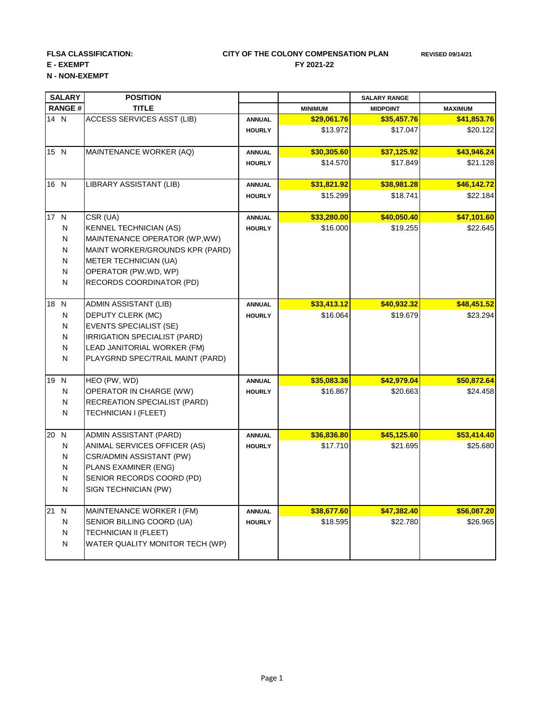## **FLSA CLASSIFICATION: REVISED 09/14/21 CITY OF THE COLONY COMPENSATION PLAN E - EXEMPT** FY 2021-22

**N - NON-EXEMPT**

| <b>SALARY</b><br><b>RANGE#</b> |              | <b>POSITION</b><br><b>TITLE</b>   |               |                | <b>SALARY RANGE</b><br><b>MIDPOINT</b> | <b>MAXIMUM</b> |
|--------------------------------|--------------|-----------------------------------|---------------|----------------|----------------------------------------|----------------|
|                                |              |                                   |               | <b>MINIMUM</b> |                                        |                |
| 14 N                           |              | <b>ACCESS SERVICES ASST (LIB)</b> | <b>ANNUAL</b> | \$29,061.76    | \$35,457.76                            | \$41,853.76    |
|                                |              |                                   | <b>HOURLY</b> | \$13.972       | \$17.047                               | \$20.122       |
| 15 N                           |              | MAINTENANCE WORKER (AQ)           | <b>ANNUAL</b> | \$30,305.60    | \$37,125.92                            | \$43,946.24    |
|                                |              |                                   | <b>HOURLY</b> | \$14.570       | \$17.849                               | \$21.128       |
| 16 N                           |              | LIBRARY ASSISTANT (LIB)           | <b>ANNUAL</b> | \$31,821.92    | \$38,981.28                            | \$46,142.72    |
|                                |              |                                   | <b>HOURLY</b> | \$15.299       | \$18.741                               | \$22.184       |
| 17 N                           |              | CSR (UA)                          | <b>ANNUAL</b> | \$33,280.00    | \$40,050.40                            | \$47,101.60    |
|                                | N            | <b>KENNEL TECHNICIAN (AS)</b>     | <b>HOURLY</b> | \$16.000       | \$19.255                               | \$22.645       |
|                                | ${\sf N}$    | MAINTENANCE OPERATOR (WP, WW)     |               |                |                                        |                |
|                                | ${\sf N}$    | MAINT WORKER/GROUNDS KPR (PARD)   |               |                |                                        |                |
|                                | ${\sf N}$    | METER TECHNICIAN (UA)             |               |                |                                        |                |
|                                | ${\sf N}$    | OPERATOR (PW, WD, WP)             |               |                |                                        |                |
|                                | ${\sf N}$    | RECORDS COORDINATOR (PD)          |               |                |                                        |                |
| 18                             | $\mathsf{N}$ | ADMIN ASSISTANT (LIB)             | <b>ANNUAL</b> | \$33,413.12    | \$40,932.32                            | \$48,451.52    |
|                                | ${\sf N}$    | DEPUTY CLERK (MC)                 | <b>HOURLY</b> | \$16.064       | \$19.679                               | \$23.294       |
|                                | $\mathsf{N}$ | <b>EVENTS SPECIALIST (SE)</b>     |               |                |                                        |                |
|                                | $\mathsf{N}$ | IRRIGATION SPECIALIST (PARD)      |               |                |                                        |                |
|                                | $\mathsf{N}$ | LEAD JANITORIAL WORKER (FM)       |               |                |                                        |                |
|                                | N            | PLAYGRND SPEC/TRAIL MAINT (PARD)  |               |                |                                        |                |
| 19                             | N            | HEO (PW, WD)                      | <b>ANNUAL</b> | \$35,083.36    | \$42,979.04                            | \$50,872.64    |
|                                | N            | OPERATOR IN CHARGE (WW)           | <b>HOURLY</b> | \$16.867       | \$20.663                               | \$24.458       |
|                                | ${\sf N}$    | RECREATION SPECIALIST (PARD)      |               |                |                                        |                |
|                                | N            | TECHNICIAN I (FLEET)              |               |                |                                        |                |
| 20                             | N            | ADMIN ASSISTANT (PARD)            | <b>ANNUAL</b> | \$36,836.80    | \$45,125.60                            | \$53,414.40    |
|                                | ${\sf N}$    | ANIMAL SERVICES OFFICER (AS)      | <b>HOURLY</b> | \$17.710       | \$21.695                               | \$25.680       |
|                                | N            | CSR/ADMIN ASSISTANT (PW)          |               |                |                                        |                |
|                                | N            | PLANS EXAMINER (ENG)              |               |                |                                        |                |
|                                | N            | SENIOR RECORDS COORD (PD)         |               |                |                                        |                |
|                                | N            | SIGN TECHNICIAN (PW)              |               |                |                                        |                |
| 21 N                           |              | MAINTENANCE WORKER I (FM)         | <b>ANNUAL</b> | \$38,677.60    | \$47,382.40                            | \$56,087.20    |
|                                | ${\sf N}$    | SENIOR BILLING COORD (UA)         | <b>HOURLY</b> | \$18.595       | \$22.780                               | \$26.965       |
|                                | ${\sf N}$    | TECHNICIAN II (FLEET)             |               |                |                                        |                |
|                                | ${\sf N}$    | WATER QUALITY MONITOR TECH (WP)   |               |                |                                        |                |
|                                |              |                                   |               |                |                                        |                |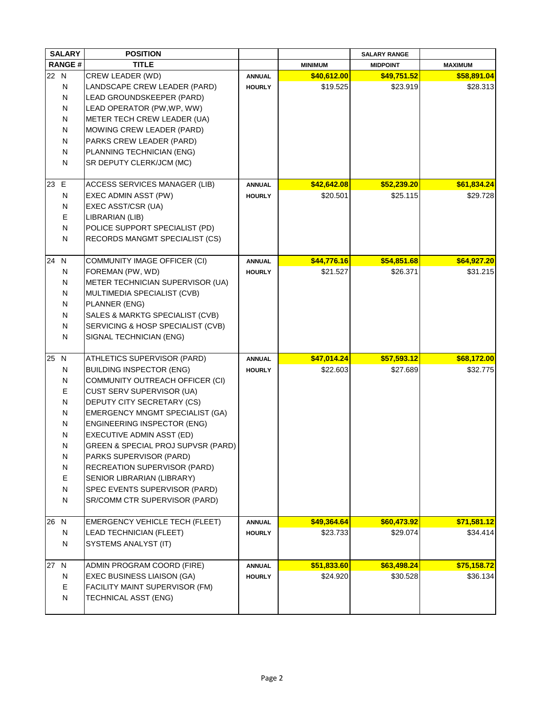| <b>SALARY</b> |              | <b>POSITION</b>                    |               |                | <b>SALARY RANGE</b> |                |
|---------------|--------------|------------------------------------|---------------|----------------|---------------------|----------------|
| <b>RANGE#</b> |              | <b>TITLE</b>                       |               | <b>MINIMUM</b> | <b>MIDPOINT</b>     | <b>MAXIMUM</b> |
| 22 N          |              | CREW LEADER (WD)                   | <b>ANNUAL</b> | \$40,612.00    | \$49,751.52         | \$58,891.04    |
|               | N            | LANDSCAPE CREW LEADER (PARD)       | <b>HOURLY</b> | \$19.525       | \$23.919            | \$28.313       |
|               | N            | LEAD GROUNDSKEEPER (PARD)          |               |                |                     |                |
|               | N            | LEAD OPERATOR (PW, WP, WW)         |               |                |                     |                |
|               | N            | METER TECH CREW LEADER (UA)        |               |                |                     |                |
|               | N            | <b>MOWING CREW LEADER (PARD)</b>   |               |                |                     |                |
|               | N            | PARKS CREW LEADER (PARD)           |               |                |                     |                |
|               | N            | PLANNING TECHNICIAN (ENG)          |               |                |                     |                |
|               | N            | SR DEPUTY CLERK/JCM (MC)           |               |                |                     |                |
|               |              |                                    |               |                |                     |                |
| 23 E          |              | ACCESS SERVICES MANAGER (LIB)      | <b>ANNUAL</b> | \$42,642.08    | \$52,239.20         | \$61,834.24    |
|               | ${\sf N}$    | EXEC ADMIN ASST (PW)               | <b>HOURLY</b> | \$20.501       | \$25.115            | \$29.728       |
|               | ${\sf N}$    | EXEC ASST/CSR (UA)                 |               |                |                     |                |
|               | $\mathsf E$  | LIBRARIAN (LIB)                    |               |                |                     |                |
|               | $\mathsf{N}$ | POLICE SUPPORT SPECIALIST (PD)     |               |                |                     |                |
|               | ${\sf N}$    | RECORDS MANGMT SPECIALIST (CS)     |               |                |                     |                |
|               |              |                                    |               |                |                     |                |
| 24            | N            | COMMUNITY IMAGE OFFICER (CI)       | <b>ANNUAL</b> | \$44,776.16    | \$54,851.68         | \$64,927.20    |
|               | N            | FOREMAN (PW, WD)                   | <b>HOURLY</b> | \$21.527       | \$26.371            | \$31.215       |
|               | N            | METER TECHNICIAN SUPERVISOR (UA)   |               |                |                     |                |
|               | N            | MULTIMEDIA SPECIALIST (CVB)        |               |                |                     |                |
|               | N            | PLANNER (ENG)                      |               |                |                     |                |
|               | N            | SALES & MARKTG SPECIALIST (CVB)    |               |                |                     |                |
|               | N            | SERVICING & HOSP SPECIALIST (CVB)  |               |                |                     |                |
|               | N            | SIGNAL TECHNICIAN (ENG)            |               |                |                     |                |
|               |              |                                    |               |                |                     |                |
| 25            | N            | ATHLETICS SUPERVISOR (PARD)        | <b>ANNUAL</b> | \$47,014.24    | \$57,593.12         | \$68,172.00    |
|               | N            | <b>BUILDING INSPECTOR (ENG)</b>    | <b>HOURLY</b> | \$22.603       | \$27.689            | \$32.775       |
|               | N            | COMMUNITY OUTREACH OFFICER (CI)    |               |                |                     |                |
|               | E            | CUST SERV SUPERVISOR (UA)          |               |                |                     |                |
|               | ${\sf N}$    | DEPUTY CITY SECRETARY (CS)         |               |                |                     |                |
|               | N            | EMERGENCY MNGMT SPECIALIST (GA)    |               |                |                     |                |
|               | N            | <b>ENGINEERING INSPECTOR (ENG)</b> |               |                |                     |                |
|               | N            | EXECUTIVE ADMIN ASST (ED)          |               |                |                     |                |
|               | N            | GREEN & SPECIAL PROJ SUPVSR (PARD) |               |                |                     |                |
|               | N            | PARKS SUPERVISOR (PARD)            |               |                |                     |                |
|               | ${\sf N}$    | RECREATION SUPERVISOR (PARD)       |               |                |                     |                |
|               | $\mathsf E$  | SENIOR LIBRARIAN (LIBRARY)         |               |                |                     |                |
|               | $\mathsf{N}$ | SPEC EVENTS SUPERVISOR (PARD)      |               |                |                     |                |
|               | ${\sf N}$    | SR/COMM CTR SUPERVISOR (PARD)      |               |                |                     |                |
|               |              |                                    |               |                |                     |                |
| 26            | N            | EMERGENCY VEHICLE TECH (FLEET)     | <b>ANNUAL</b> | \$49,364.64    | \$60,473.92         | \$71,581.12    |
|               | N            | LEAD TECHNICIAN (FLEET)            | <b>HOURLY</b> | \$23.733       | \$29.074            | \$34.414]      |
|               | N            | SYSTEMS ANALYST (IT)               |               |                |                     |                |
|               |              |                                    |               |                |                     |                |
| 27            | N            | ADMIN PROGRAM COORD (FIRE)         | <b>ANNUAL</b> | \$51,833.60    | \$63,498.24         | \$75,158.72    |
|               | N            | EXEC BUSINESS LIAISON (GA)         | <b>HOURLY</b> | \$24.920       | \$30.528            | \$36.134]      |
|               | E            | FACILITY MAINT SUPERVISOR (FM)     |               |                |                     |                |
|               | N            | TECHNICAL ASST (ENG)               |               |                |                     |                |
|               |              |                                    |               |                |                     |                |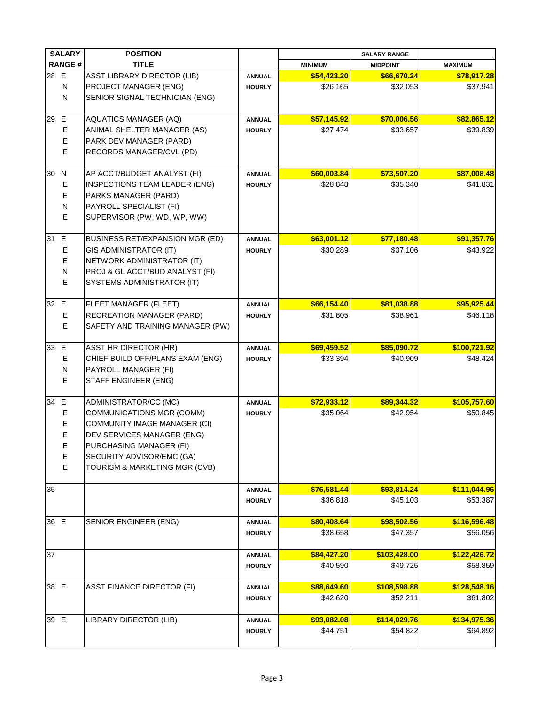|      | <b>SALARY</b> | <b>POSITION</b>                     |               |                | <b>SALARY RANGE</b> |                |
|------|---------------|-------------------------------------|---------------|----------------|---------------------|----------------|
|      | <b>RANGE#</b> | <b>TITLE</b>                        |               | <b>MINIMUM</b> | <b>MIDPOINT</b>     | <b>MAXIMUM</b> |
| 28 E |               | <b>ASST LIBRARY DIRECTOR (LIB)</b>  | <b>ANNUAL</b> | \$54,423.20    | \$66,670.24         | \$78,917.28    |
|      | N             | PROJECT MANAGER (ENG)               | <b>HOURLY</b> | \$26.165       | \$32.053            | \$37.941       |
|      | N             | SENIOR SIGNAL TECHNICIAN (ENG)      |               |                |                     |                |
|      |               |                                     |               |                |                     |                |
| 29   | E             | <b>AQUATICS MANAGER (AQ)</b>        | <b>ANNUAL</b> | \$57,145.92    | \$70,006.56         | \$82,865.12    |
|      | $\mathsf E$   | ANIMAL SHELTER MANAGER (AS)         | <b>HOURLY</b> | \$27.474       | \$33.657            | \$39.839       |
|      | $\mathsf E$   | PARK DEV MANAGER (PARD)             |               |                |                     |                |
|      | $\mathsf E$   | RECORDS MANAGER/CVL (PD)            |               |                |                     |                |
|      |               |                                     |               |                |                     |                |
| 30   | N             | AP ACCT/BUDGET ANALYST (FI)         | <b>ANNUAL</b> | \$60,003.84    | \$73,507.20         | \$87,008.48    |
|      | $\mathsf E$   | INSPECTIONS TEAM LEADER (ENG)       | <b>HOURLY</b> | \$28.848       | \$35.340            | \$41.831       |
|      | $\mathsf E$   | PARKS MANAGER (PARD)                |               |                |                     |                |
|      | $\mathsf{N}$  | PAYROLL SPECIALIST (FI)             |               |                |                     |                |
|      | $\mathsf E$   | SUPERVISOR (PW, WD, WP, WW)         |               |                |                     |                |
| 31   | E             | BUSINESS RET/EXPANSION MGR (ED)     | <b>ANNUAL</b> | \$63,001.12    | \$77,180.48         | \$91,357.76    |
|      | $\mathsf E$   | GIS ADMINISTRATOR (IT)              | <b>HOURLY</b> | \$30.289       | \$37.106            | \$43.922       |
|      | $\mathsf E$   | NETWORK ADMINISTRATOR (IT)          |               |                |                     |                |
|      | $\mathsf{N}$  | PROJ & GL ACCT/BUD ANALYST (FI)     |               |                |                     |                |
|      | E             | SYSTEMS ADMINISTRATOR (IT)          |               |                |                     |                |
|      |               |                                     |               |                |                     |                |
| 32 E |               | FLEET MANAGER (FLEET)               | <b>ANNUAL</b> | \$66,154.40    | \$81,038.88         | \$95,925.44    |
|      | $\mathsf E$   | RECREATION MANAGER (PARD)           | <b>HOURLY</b> | \$31.805       | \$38.961            | \$46.118       |
|      | $\mathsf E$   | SAFETY AND TRAINING MANAGER (PW)    |               |                |                     |                |
|      |               |                                     |               |                |                     |                |
| 33   | E             | ASST HR DIRECTOR (HR)               | <b>ANNUAL</b> | \$69,459.52    | \$85,090.72         | \$100,721.92   |
|      | $\mathsf E$   | CHIEF BUILD OFF/PLANS EXAM (ENG)    | <b>HOURLY</b> | \$33.394       | \$40.909            | \$48.424]      |
|      | ${\sf N}$     | PAYROLL MANAGER (FI)                |               |                |                     |                |
|      | E             | STAFF ENGINEER (ENG)                |               |                |                     |                |
|      |               |                                     |               |                |                     |                |
| 34   | $\mathsf E$   | ADMINISTRATOR/CC (MC)               | <b>ANNUAL</b> | \$72,933.12    | \$89,344.32         | \$105,757.60   |
|      | $\mathsf E$   | COMMUNICATIONS MGR (COMM)           | <b>HOURLY</b> | \$35.064       | \$42.954            | \$50.845       |
|      | $\mathsf E$   | <b>COMMUNITY IMAGE MANAGER (CI)</b> |               |                |                     |                |
|      | $\mathsf E$   | DEV SERVICES MANAGER (ENG)          |               |                |                     |                |
|      | E             | PURCHASING MANAGER (FI)             |               |                |                     |                |
|      | E             | SECURITY ADVISOR/EMC (GA)           |               |                |                     |                |
|      | $\mathsf E$   | TOURISM & MARKETING MGR (CVB)       |               |                |                     |                |
| 35   |               |                                     | <b>ANNUAL</b> | \$76,581.44    | \$93,814.24         | \$111,044.96   |
|      |               |                                     | <b>HOURLY</b> | \$36.818       | \$45.103            | \$53.387       |
|      |               |                                     |               |                |                     |                |
| 36 E |               | SENIOR ENGINEER (ENG)               | <b>ANNUAL</b> | \$80,408.64    | \$98,502.56         | \$116,596.48   |
|      |               |                                     | <b>HOURLY</b> | \$38.658       | \$47.357            | \$56.056       |
|      |               |                                     |               |                |                     |                |
| 37   |               |                                     | <b>ANNUAL</b> | \$84,427.20    | \$103,428.00        | \$122,426.72   |
|      |               |                                     | <b>HOURLY</b> | \$40.590       | \$49.725            | \$58.859       |
|      |               |                                     |               |                |                     |                |
| 38 E |               | <b>ASST FINANCE DIRECTOR (FI)</b>   | <b>ANNUAL</b> | \$88,649.60    | \$108,598.88        | \$128,548.16   |
|      |               |                                     | <b>HOURLY</b> | \$42.620       | \$52.211            | \$61.802       |
| 39 E |               | LIBRARY DIRECTOR (LIB)              | <b>ANNUAL</b> | \$93,082.08    | \$114,029.76        | \$134,975.36   |
|      |               |                                     | <b>HOURLY</b> | \$44.751       | \$54.822            | \$64.892       |
|      |               |                                     |               |                |                     |                |